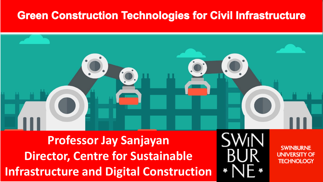#### **Green Construction Technologies for Civil Infrastructure**



**Professor Jay Sanjayan Director, Centre for Sustainable Infrastructure and Digital Construction**

**SWINBLIRNE UNIVERSITY OF TECHNOLOGY**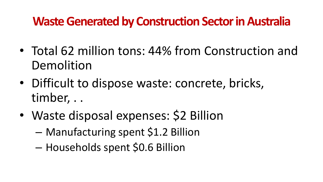#### **Waste Generated by Construction Sector in Australia**

- Total 62 million tons: 44% from Construction and Demolition
- Difficult to dispose waste: concrete, bricks, timber, . .
- Waste disposal expenses: \$2 Billion
	- Manufacturing spent \$1.2 Billion
	- Households spent \$0.6 Billion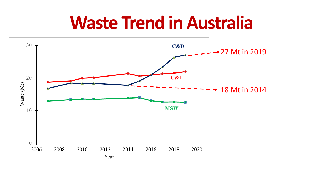#### **Waste Trend in Australia**

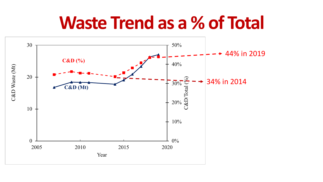#### **Waste Trend as a % of Total**

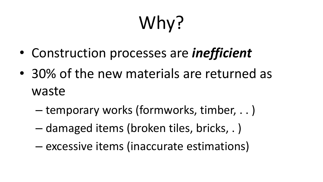# Why?

- Construction processes are *inefficient*
- 30% of the new materials are returned as waste
	- temporary works (formworks, timber, . . )
	- damaged items (broken tiles, bricks, . )
	- excessive items (inaccurate estimations)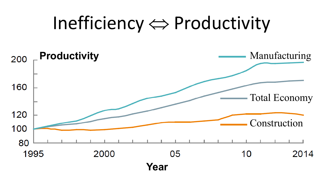### Inefficiency ⇔ Productivity

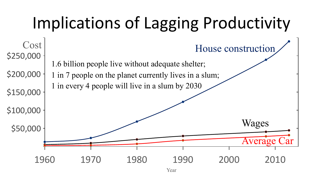## Implications of Lagging Productivity



Year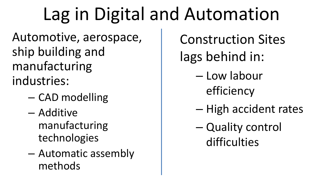## Lag in Digital and Automation

Automotive, aerospace, ship building and manufacturing industries:

- CAD modelling
- Additive manufacturing technologies
- Automatic assembly methods

Construction Sites lags behind in:

- Low labour efficiency
- High accident rates
- Quality control difficulties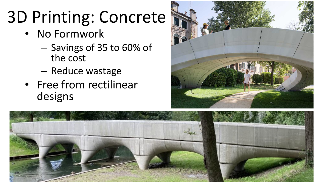## 3D Printing: Concrete

- No Formwork
	- Savings of 35 to 60% of the cost
	- Reduce wastage
- Free from rectilinear designs



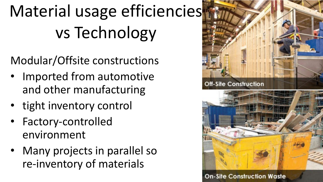## Material usage efficiencies vs Technology

Modular/Offsite constructions

- Imported from automotive and other manufacturing
- tight inventory control
- Factory-controlled environment
- Many projects in parallel so re-inventory of materials



**Off-Site Construction** 



**On-Site Construction Waste**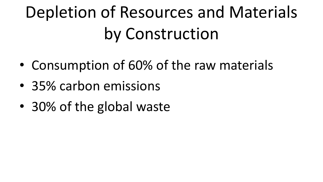## Depletion of Resources and Materials by Construction

- Consumption of 60% of the raw materials
- 35% carbon emissions
- 30% of the global waste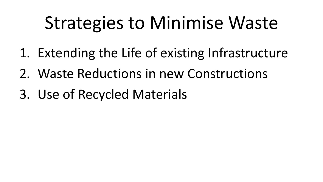## Strategies to Minimise Waste

- 1. Extending the Life of existing Infrastructure
- 2. Waste Reductions in new Constructions
- 3. Use of Recycled Materials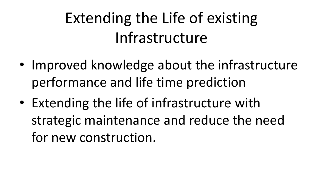### Extending the Life of existing Infrastructure

- Improved knowledge about the infrastructure performance and life time prediction
- Extending the life of infrastructure with strategic maintenance and reduce the need for new construction.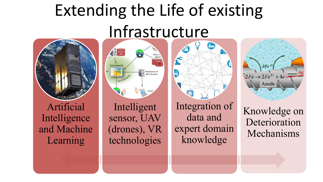## Extending the Life of existing Infrastructure



Artificial Intelligence and Machine Learning



sensor, UAV (drones), VR technologies





Knowledge on Deterioration Mechanisms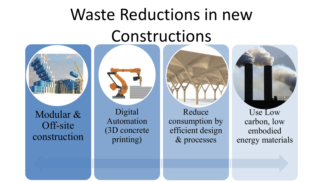## Waste Reductions in new Constructions



Modular & Off-site construction

![](_page_14_Picture_3.jpeg)

Digital Automation (3D concrete printing)

Reduce consumption by efficient design & processes

![](_page_14_Picture_6.jpeg)

Use Low carbon, low embodied energy materials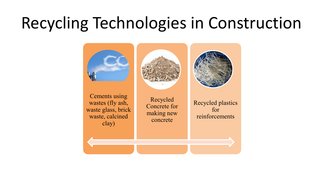### Recycling Technologies in Construction

![](_page_15_Picture_1.jpeg)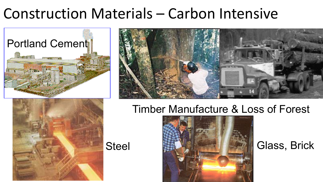#### Construction Materials – Carbon Intensive

![](_page_16_Picture_1.jpeg)

![](_page_16_Picture_2.jpeg)

#### Timber Manufacture & Loss of Forest

![](_page_16_Picture_4.jpeg)

![](_page_16_Picture_6.jpeg)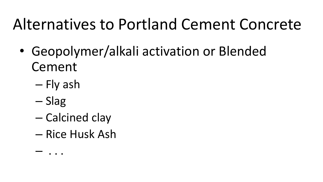#### Alternatives to Portland Cement Concrete

- Geopolymer/alkali activation or Blended Cement
	- Fly ash
	- Slag

– . . .

- Calcined clay
- Rice Husk Ash